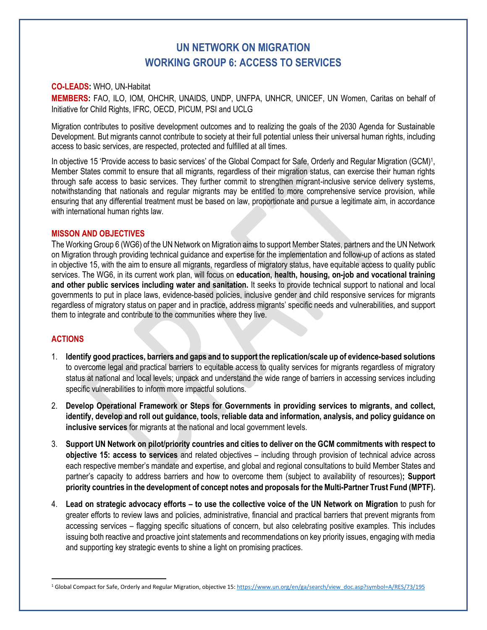# **UN NETWORK ON MIGRATION WORKING GROUP 6: ACCESS TO SERVICES**

### **CO-LEADS:** WHO, UN-Habitat

**MEMBERS:** FAO, ILO, IOM, OHCHR, UNAIDS, UNDP, UNFPA, UNHCR, UNICEF, UN Women, Caritas on behalf of Initiative for Child Rights, IFRC, OECD, PICUM, PSI and UCLG

Migration contributes to positive development outcomes and to realizing the goals of the 2030 Agenda for Sustainable Development. But migrants cannot contribute to society at their full potential unless their universal human rights, including access to basic services, are respected, protected and fulfilled at all times.

In objective 15 'Provide access to basic services' of the Global Compact for Safe, Orderly and Regular Migration (GCM)<sup>1</sup>, Member States commit to ensure that all migrants, regardless of their migration status, can exercise their human rights through safe access to basic services. They further commit to strengthen migrant-inclusive service delivery systems, notwithstanding that nationals and regular migrants may be entitled to more comprehensive service provision, while ensuring that any differential treatment must be based on law, proportionate and pursue a legitimate aim, in accordance with international human rights law.

#### **MISSON AND OBJECTIVES**

The Working Group 6 (WG6) of the UN Network on Migration aims to support Member States, partners and the UN Network on Migration through providing technical guidance and expertise for the implementation and follow-up of actions as stated in objective 15, with the aim to ensure all migrants, regardless of migratory status, have equitable access to quality public services. The WG6, in its current work plan, will focus on **education, health, housing, on-job and vocational training and other public services including water and sanitation.** It seeks to provide technical support to national and local governments to put in place laws, evidence-based policies, inclusive gender and child responsive services for migrants regardless of migratory status on paper and in practice, address migrants' specific needs and vulnerabilities, and support them to integrate and contribute to the communities where they live.

#### **ACTIONS**

- 1. **Identify good practices, barriers and gaps and to support the replication/scale up of evidence-based solutions**  to overcome legal and practical barriers to equitable access to quality services for migrants regardless of migratory status at national and local levels; unpack and understand the wide range of barriers in accessing services including specific vulnerabilities to inform more impactful solutions.
- 2. **Develop Operational Framework or Steps for Governments in providing services to migrants, and collect, identify, develop and roll out guidance, tools, reliable data and information, analysis, and policy guidance on inclusive services** for migrants at the national and local government levels.
- 3. **Support UN Network on pilot/priority countries and cities to deliver on the GCM commitments with respect to objective 15: access to services** and related objectives – including through provision of technical advice across each respective member's mandate and expertise, and global and regional consultations to build Member States and partner's capacity to address barriers and how to overcome them (subject to availability of resources)**; Support priority countries in the development of concept notes and proposals for the Multi-Partner Trust Fund (MPTF).**
- 4. **Lead on strategic advocacy efforts – to use the collective voice of the UN Network on Migration** to push for greater efforts to review laws and policies, administrative, financial and practical barriers that prevent migrants from accessing services – flagging specific situations of concern, but also celebrating positive examples. This includes issuing both reactive and proactive joint statements and recommendations on key priority issues, engaging with media and supporting key strategic events to shine a light on promising practices.

<sup>&</sup>lt;sup>1</sup> Global Compact for Safe, Orderly and Regular Migration, objective 15[: https://www.un.org/en/ga/search/view\\_doc.asp?symbol=A/RES/73/195](https://www.un.org/en/ga/search/view_doc.asp?symbol=A/RES/73/195)